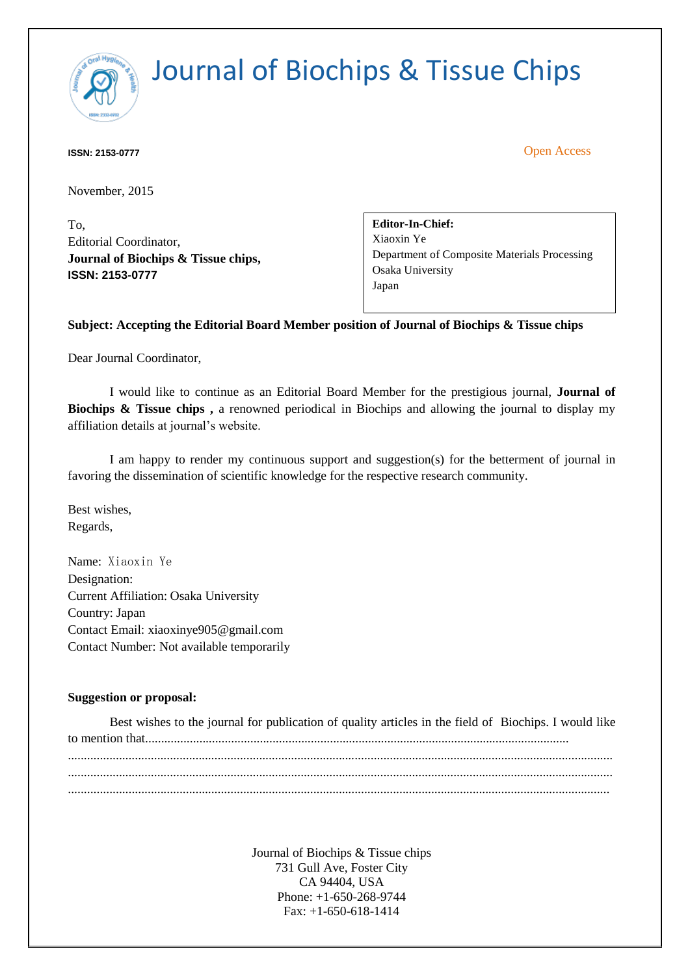

**ISSN: 2153-0777** Open Access

November, 2015

To, Editorial Coordinator, **Journal of Biochips & Tissue chips, ISSN: 2153-0777**

**Editor-In-Chief:** [Xiaoxin Ye](http://www.omicsonline.org/editor-profile/Xiaoxin_Ye/) Department of Composite Materials Processing [Osaka University](http://www.omicsonline.org/universities/Osaka_University/) Japan

#### **Subject: Accepting the Editorial Board Member position of Journal of Biochips & Tissue chips**

Dear Journal Coordinator,

I would like to continue as an Editorial Board Member for the prestigious journal, **Journal of Biochips & Tissue chips ,** a renowned periodical in Biochips and allowing the journal to display my affiliation details at journal's website.

I am happy to render my continuous support and suggestion(s) for the betterment of journal in favoring the dissemination of scientific knowledge for the respective research community.

Best wishes, Regards,

Name: Xiaoxin Ye Designation: Current Affiliation: Osaka University Country: Japan Contact Email: xiaoxinye905@gmail.com Contact Number: Not available temporarily

#### **Suggestion or proposal:**

|  | Best wishes to the journal for publication of quality articles in the field of Biochips. I would like |
|--|-------------------------------------------------------------------------------------------------------|
|  |                                                                                                       |
|  |                                                                                                       |
|  |                                                                                                       |
|  |                                                                                                       |
|  |                                                                                                       |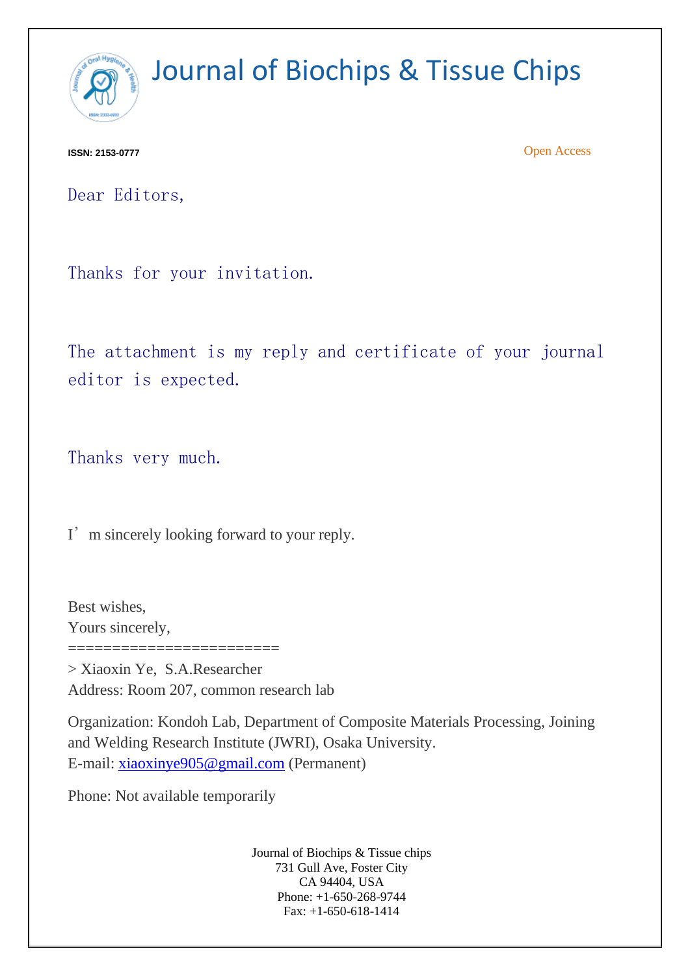

**ISSN: 2153-0777** Open Access

Dear Editors,

Thanks for your invitation.

The attachment is my reply and certificate of your journal editor is expected.

Thanks very much.

I'm sincerely looking forward to your reply.

Best wishes, Yours sincerely,

> Xiaoxin Ye, S.A.Researcher Address: Room 207, common research lab

Organization: Kondoh Lab, Department of Composite Materials Processing, Joining and Welding Research Institute (JWRI), Osaka University. E-mail: [xiaoxinye905@gmail.com](mailto:xiaoxinye905@gmail.com) (Permanent)

Phone: Not available temporarily

========================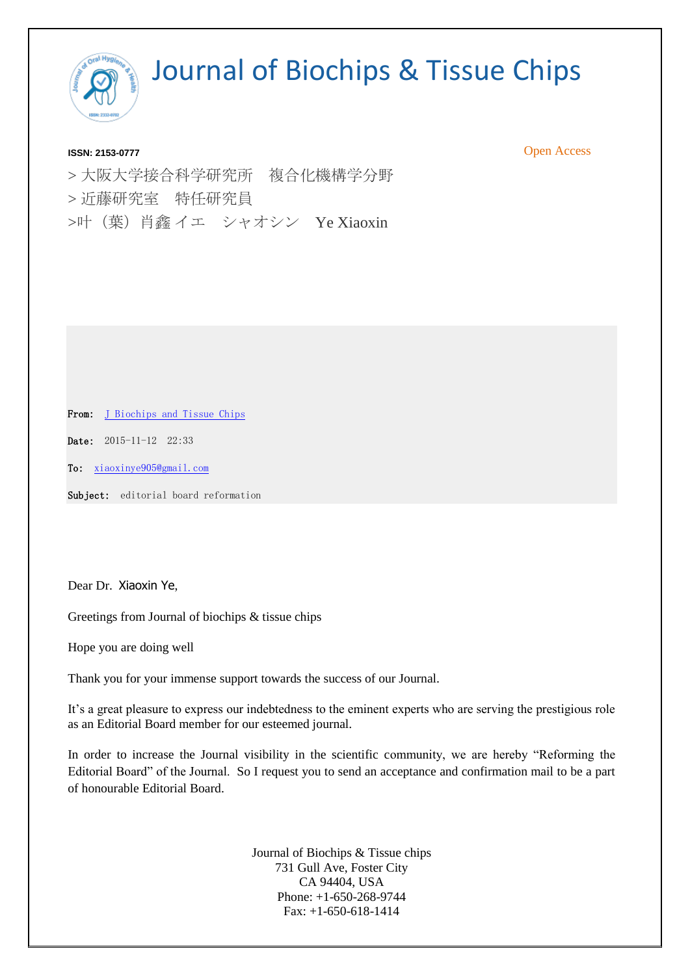

**ISSN: 2153-0777** Open Access

> 大阪大学接合科学研究所 複合化機構学分野 > 近藤研究室 特任研究員 >叶(葉)肖鑫 イエ シャオシン Ye Xiaoxin

From: [J Biochips and Tissue Chips](mailto:editor.jbtc@omicsinc.com)

Date: 2015-11-12 22:33

To: [xiaoxinye905@gmail.com](mailto:xiaoxinye905@gmail.com)

Subject: editorial board reformation

Dear Dr. Xiaoxin Ye,

Greetings from Journal of biochips & tissue chips

Hope you are doing well

Thank you for your immense support towards the success of our Journal.

It's a great pleasure to express our indebtedness to the eminent experts who are serving the prestigious role as an Editorial Board member for our esteemed journal.

In order to increase the Journal visibility in the scientific community, we are hereby "Reforming the Editorial Board" of the Journal. So I request you to send an acceptance and confirmation mail to be a part of honourable Editorial Board.